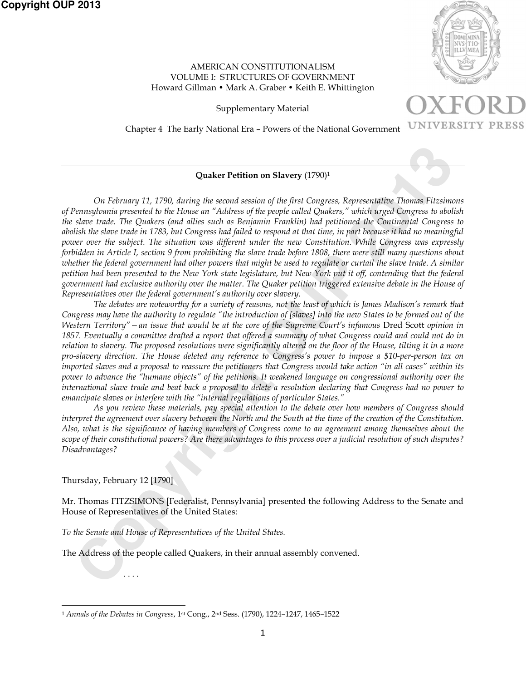

## AMERICAN CONSTITUTIONALISM VOLUME I: STRUCTURES OF GOVERNMENT Howard Gillman • Mark A. Graber • Keith E. Whittington

Supplementary Material



Chapter 4 The Early National Era – Powers of the National Government

## **Quaker Petition on Slavery** (1790)1

*On February 11, 1790, during the second session of the first Congress, Representative Thomas Fitzsimons of Pennsylvania presented to the House an "Address of the people called Quakers," which urged Congress to abolish the slave trade. The Quakers (and allies such as Benjamin Franklin) had petitioned the Continental Congress to abolish the slave trade in 1783, but Congress had failed to respond at that time, in part because it had no meaningful power over the subject. The situation was different under the new Constitution. While Congress was expressly forbidden in Article I, section 9 from prohibiting the slave trade before 1808, there were still many questions about whether the federal government had other powers that might be used to regulate or curtail the slave trade. A similar petition had been presented to the New York state legislature, but New York put it off, contending that the federal government had exclusive authority over the matter. The Quaker petition triggered extensive debate in the House of Representatives over the federal government's authority over slavery.* 

**Consider Petition on Slavery** (1790)<br> **Consider Petition on Slavery** (1790)<br>
Conference in the form of the first Congress, Representative Thomas Fitsion<br>
density and the lowest information of the first Comparison of the f *The debates are noteworthy for a variety of reasons, not the least of which is James Madison's remark that Congress may have the authority to regulate "the introduction of [slaves] into the new States to be formed out of the Western Territory"* – an issue that would be at the core of the Supreme Court's infamous Dred Scott opinion in *1857. Eventually a committee drafted a report that offered a summary of what Congress could and could not do in relation to slavery. The proposed resolutions were significantly altered on the floor of the House, tilting it in a more pro-slavery direction. The House deleted any reference to Congress's power to impose a \$10-per-person tax on imported slaves and a proposal to reassure the petitioners that Congress would take action "in all cases" within its power to advance the "humane objects" of the petitions. It weakened language on congressional authority over the international slave trade and beat back a proposal to delete a resolution declaring that Congress had no power to emancipate slaves or interfere with the "internal regulations of particular States."*

*As you review these materials, pay special attention to the debate over how members of Congress should interpret the agreement over slavery between the North and the South at the time of the creation of the Constitution. Also, what is the significance of having members of Congress come to an agreement among themselves about the scope of their constitutional powers? Are there advantages to this process over a judicial resolution of such disputes? Disadvantages?* 

Thursday, February 12 [1790]

. . . .

Mr. Thomas FITZSIMONS [Federalist, Pennsylvania] presented the following Address to the Senate and House of Representatives of the United States:

*To the Senate and House of Representatives of the United States.*

The Address of the people called Quakers, in their annual assembly convened.

 $\overline{a}$ <sup>1</sup> *Annals of the Debates in Congress*, 1st Cong., 2nd Sess. (1790), 1224–1247, 1465–1522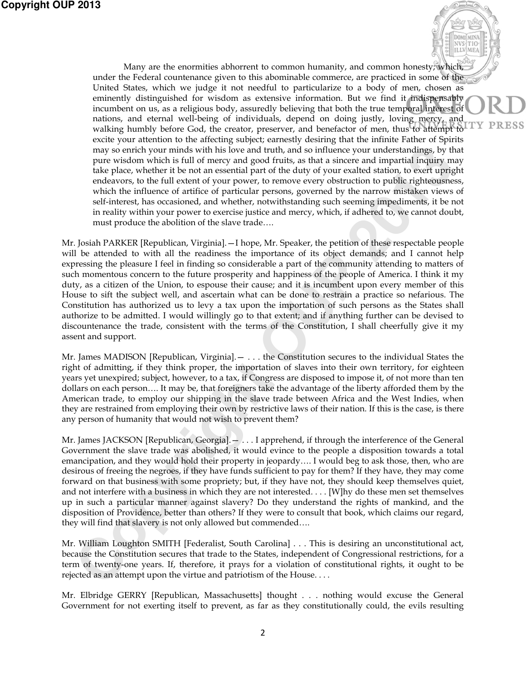Many are the enormities abhorrent to common humanity, and common honesty; which, under the Federal countenance given to this abominable commerce, are practiced in some of the United States, which we judge it not needful to particularize to a body of men, chosen as eminently distinguished for wisdom as extensive information. But we find it indispensably incumbent on us, as a religious body, assuredly believing that both the true temporal interest of nations, and eternal well-being of individuals, depend on doing justly, loving mercy, and walking humbly before God, the creator, preserver, and benefactor of men, thus to attempt to excite your attention to the affecting subject; earnestly desiring that the infinite Father of Spirits may so enrich your minds with his love and truth, and so influence your understandings, by that pure wisdom which is full of mercy and good fruits, as that a sincere and impartial inquiry may take place, whether it be not an essential part of the duty of your exalted station, to exert upright endeavors, to the full extent of your power, to remove every obstruction to public righteousness, which the influence of artifice of particular persons, governed by the narrow mistaken views of self-interest, has occasioned, and whether, notwithstanding such seeming impediments, it be not in reality within your power to exercise justice and mercy, which, if adhered to, we cannot doubt, must produce the abolition of the slave trade….

**DOMTMIN** NVS TIC **ILLV** 

PRESS

may so enrich your minds with his love and tutub, and so influency eyer understanding, by the solution which is foll of mercy and good fruits, as that a sincere and imparial inquiry minds when the beat benchment to the act Mr. Josiah PARKER [Republican, Virginia].—I hope, Mr. Speaker, the petition of these respectable people will be attended to with all the readiness the importance of its object demands; and I cannot help expressing the pleasure I feel in finding so considerable a part of the community attending to matters of such momentous concern to the future prosperity and happiness of the people of America. I think it my duty, as a citizen of the Union, to espouse their cause; and it is incumbent upon every member of this House to sift the subject well, and ascertain what can be done to restrain a practice so nefarious. The Constitution has authorized us to levy a tax upon the importation of such persons as the States shall authorize to be admitted. I would willingly go to that extent; and if anything further can be devised to discountenance the trade, consistent with the terms of the Constitution, I shall cheerfully give it my assent and support.

Mr. James MADISON [Republican, Virginia].— . . . the Constitution secures to the individual States the right of admitting, if they think proper, the importation of slaves into their own territory, for eighteen years yet unexpired; subject, however, to a tax, if Congress are disposed to impose it, of not more than ten dollars on each person…. It may be, that foreigners take the advantage of the liberty afforded them by the American trade, to employ our shipping in the slave trade between Africa and the West Indies, when they are restrained from employing their own by restrictive laws of their nation. If this is the case, is there any person of humanity that would not wish to prevent them?

Mr. James JACKSON [Republican, Georgia].— . . . I apprehend, if through the interference of the General Government the slave trade was abolished, it would evince to the people a disposition towards a total emancipation, and they would hold their property in jeopardy…. I would beg to ask those, then, who are desirous of freeing the negroes, if they have funds sufficient to pay for them? If they have, they may come forward on that business with some propriety; but, if they have not, they should keep themselves quiet, and not interfere with a business in which they are not interested. . . . [W]hy do these men set themselves up in such a particular manner against slavery? Do they understand the rights of mankind, and the disposition of Providence, better than others? If they were to consult that book, which claims our regard, they will find that slavery is not only allowed but commended….

Mr. William Loughton SMITH [Federalist, South Carolina] . . . This is desiring an unconstitutional act, because the Constitution secures that trade to the States, independent of Congressional restrictions, for a term of twenty-one years. If, therefore, it prays for a violation of constitutional rights, it ought to be rejected as an attempt upon the virtue and patriotism of the House. . . .

Mr. Elbridge GERRY [Republican, Massachusetts] thought . . . nothing would excuse the General Government for not exerting itself to prevent, as far as they constitutionally could, the evils resulting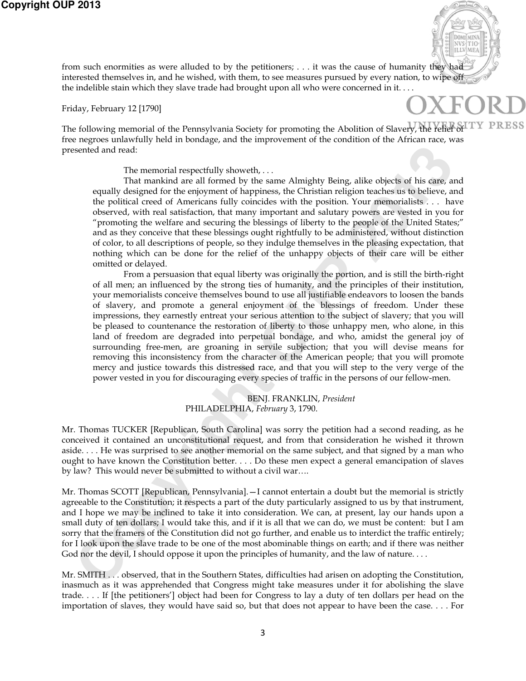

Friday, February 12 [1790]

DOMTMIN/ NVS<sup>I</sup>

The following memorial of the Pennsylvania Society for promoting the Abolition of Slavery, the relief of free negroes unlawfully held in bondage, and the improvement of the condition of the African race, was presented and read:

The memorial respectfully showeth, . . .

That mankind are all formed by the same Almighty Being, alike objects of his care, and equally designed for the enjoyment of happiness, the Christian religion teaches us to believe, and the political creed of Americans fully coincides with the position. Your memorialists . . . have observed, with real satisfaction, that many important and salutary powers are vested in you for "promoting the welfare and securing the blessings of liberty to the people of the United States;" and as they conceive that these blessings ought rightfully to be administered, without distinction of color, to all descriptions of people, so they indulge themselves in the pleasing expectation, that nothing which can be done for the relief of the unhappy objects of their care will be either omitted or delayed.

sented and read:<br>The memorial respectfully showesth, .... The hearner Minighty Being, alike objects of his cargo and particular control in the copyright of the copyright of the copyright to the column of the column of the From a persuasion that equal liberty was originally the portion, and is still the birth-right of all men; an influenced by the strong ties of humanity, and the principles of their institution, your memorialists conceive themselves bound to use all justifiable endeavors to loosen the bands of slavery, and promote a general enjoyment of the blessings of freedom. Under these impressions, they earnestly entreat your serious attention to the subject of slavery; that you will be pleased to countenance the restoration of liberty to those unhappy men, who alone, in this land of freedom are degraded into perpetual bondage, and who, amidst the general joy of surrounding free-men, are groaning in servile subjection; that you will devise means for removing this inconsistency from the character of the American people; that you will promote mercy and justice towards this distressed race, and that you will step to the very verge of the power vested in you for discouraging every species of traffic in the persons of our fellow-men.

BENJ. FRANKLIN, *President* PHILADELPHIA, *February* 3, 1790.

Mr. Thomas TUCKER [Republican, South Carolina] was sorry the petition had a second reading, as he conceived it contained an unconstitutional request, and from that consideration he wished it thrown aside. . . . He was surprised to see another memorial on the same subject, and that signed by a man who ought to have known the Constitution better. . . . Do these men expect a general emancipation of slaves by law? This would never be submitted to without a civil war….

Mr. Thomas SCOTT [Republican, Pennsylvania].—I cannot entertain a doubt but the memorial is strictly agreeable to the Constitution; it respects a part of the duty particularly assigned to us by that instrument, and I hope we may be inclined to take it into consideration. We can, at present, lay our hands upon a small duty of ten dollars; I would take this, and if it is all that we can do, we must be content: but I am sorry that the framers of the Constitution did not go further, and enable us to interdict the traffic entirely; for I look upon the slave trade to be one of the most abominable things on earth; and if there was neither God nor the devil, I should oppose it upon the principles of humanity, and the law of nature. . . .

Mr. SMITH . . . observed, that in the Southern States, difficulties had arisen on adopting the Constitution, inasmuch as it was apprehended that Congress might take measures under it for abolishing the slave trade. . . . If [the petitioners'] object had been for Congress to lay a duty of ten dollars per head on the importation of slaves, they would have said so, but that does not appear to have been the case. . . . For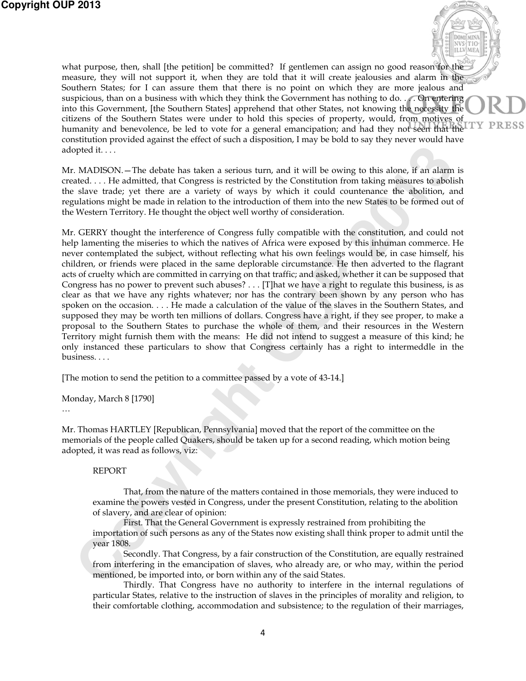what purpose, then, shall [the petition] be committed? If gentlemen can assign no good reason for the measure, they will not support it, when they are told that it will create jealousies and alarm in the Southern States; for I can assure them that there is no point on which they are more jealous and suspicious, than on a business with which they think the Government has nothing to do. . . . On entering into this Government, [the Southern States] apprehend that other States, not knowing the necessity the citizens of the Southern States were under to hold this species of property, would, from motives of PRESS humanity and benevolence, be led to vote for a general emancipation; and had they not seen that the constitution provided against the effect of such a disposition, I may be bold to say they never would have adopted it. . . .

DOMTMIN/ NVS TIC **TLLY** 

Mr. MADISON.—The debate has taken a serious turn, and it will be owing to this alone, if an alarm is created. . . . He admitted, that Congress is restricted by the Constitution from taking measures to abolish the slave trade; yet there are a variety of ways by which it could countenance the abolition, and regulations might be made in relation to the introduction of them into the new States to be formed out of the Western Territory. He thought the object well worthy of consideration.

poted it....<br>
C. MADISON). The debate has taken a serious turn, and it will be owing to this alone, if an alarm<br>
L. A. L. The admitted, that Congress is restricted by the Constitution from taking measures to aboil<br>
side: y Mr. GERRY thought the interference of Congress fully compatible with the constitution, and could not help lamenting the miseries to which the natives of Africa were exposed by this inhuman commerce. He never contemplated the subject, without reflecting what his own feelings would be, in case himself, his children, or friends were placed in the same deplorable circumstance. He then adverted to the flagrant acts of cruelty which are committed in carrying on that traffic; and asked, whether it can be supposed that Congress has no power to prevent such abuses? . . . [T]hat we have a right to regulate this business, is as clear as that we have any rights whatever; nor has the contrary been shown by any person who has spoken on the occasion. . . . He made a calculation of the value of the slaves in the Southern States, and supposed they may be worth ten millions of dollars. Congress have a right, if they see proper, to make a proposal to the Southern States to purchase the whole of them, and their resources in the Western Territory might furnish them with the means: He did not intend to suggest a measure of this kind; he only instanced these particulars to show that Congress certainly has a right to intermeddle in the business. . . .

[The motion to send the petition to a committee passed by a vote of 43-14.]

Monday, March 8 [1790]

…

Mr. Thomas HARTLEY [Republican, Pennsylvania] moved that the report of the committee on the memorials of the people called Quakers, should be taken up for a second reading, which motion being adopted, it was read as follows, viz:

## REPORT

That, from the nature of the matters contained in those memorials, they were induced to examine the powers vested in Congress, under the present Constitution, relating to the abolition of slavery, and are clear of opinion:

First. That the General Government is expressly restrained from prohibiting the importation of such persons as any of the States now existing shall think proper to admit until the year 1808.

Secondly. That Congress, by a fair construction of the Constitution, are equally restrained from interfering in the emancipation of slaves, who already are, or who may, within the period mentioned, be imported into, or born within any of the said States.

Thirdly. That Congress have no authority to interfere in the internal regulations of particular States, relative to the instruction of slaves in the principles of morality and religion, to their comfortable clothing, accommodation and subsistence; to the regulation of their marriages,